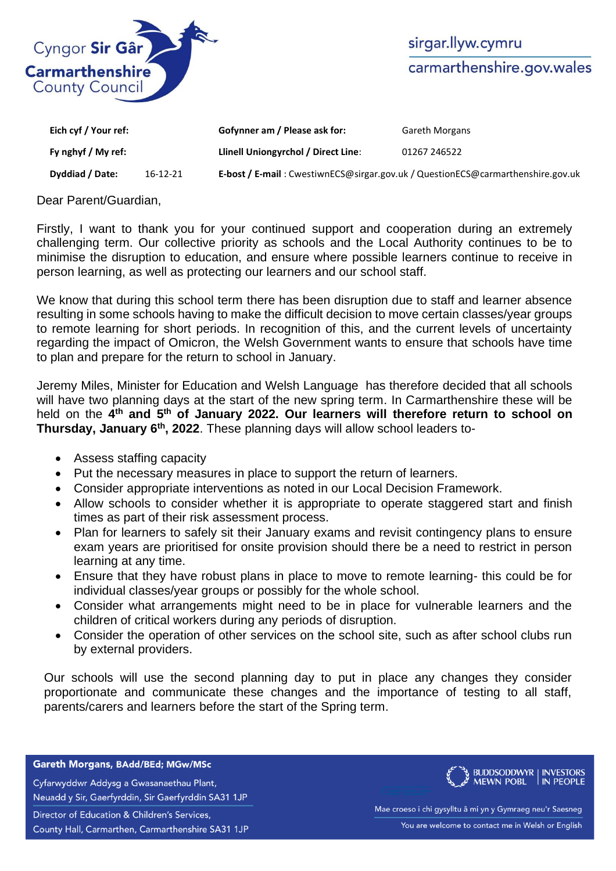

sirgar.llyw.cymru carmarthenshire.gov.wales

| Eich cyf / Your ref: |          | Gofynner am / Please ask for:                                                   | <b>Gareth Morgans</b> |
|----------------------|----------|---------------------------------------------------------------------------------|-----------------------|
| Fy nghyf / My ref:   |          | Llinell Uniongyrchol / Direct Line:                                             | 01267 246522          |
| Dyddiad / Date:      | 16-12-21 | E-bost / E-mail: CwestiwnECS@sirgar.gov.uk / QuestionECS@carmarthenshire.gov.uk |                       |

Dear Parent/Guardian,

Firstly, I want to thank you for your continued support and cooperation during an extremely challenging term. Our collective priority as schools and the Local Authority continues to be to minimise the disruption to education, and ensure where possible learners continue to receive in person learning, as well as protecting our learners and our school staff.

We know that during this school term there has been disruption due to staff and learner absence resulting in some schools having to make the difficult decision to move certain classes/year groups to remote learning for short periods. In recognition of this, and the current levels of uncertainty regarding the impact of Omicron, the Welsh Government wants to ensure that schools have time to plan and prepare for the return to school in January.

Jeremy Miles, Minister for Education and Welsh Language has therefore decided that all schools will have two planning days at the start of the new spring term. In Carmarthenshire these will be held on the 4<sup>th</sup> and 5<sup>th</sup> of January 2022. Our learners will therefore return to school on **Thursday, January 6th, 2022**. These planning days will allow school leaders to-

- Assess staffing capacity
- Put the necessary measures in place to support the return of learners.
- Consider appropriate interventions as noted in our Local Decision Framework.
- Allow schools to consider whether it is appropriate to operate staggered start and finish times as part of their risk assessment process.
- Plan for learners to safely sit their January exams and revisit contingency plans to ensure exam years are prioritised for onsite provision should there be a need to restrict in person learning at any time.
- Ensure that they have robust plans in place to move to remote learning- this could be for individual classes/year groups or possibly for the whole school.
- Consider what arrangements might need to be in place for vulnerable learners and the children of critical workers during any periods of disruption.
- Consider the operation of other services on the school site, such as after school clubs run by external providers.

Our schools will use the second planning day to put in place any changes they consider proportionate and communicate these changes and the importance of testing to all staff, parents/carers and learners before the start of the Spring term.

## Gareth Morgans, BAdd/BEd; MGw/MSc

Cyfarwyddwr Addysg a Gwasanaethau Plant, Neuadd y Sir, Gaerfyrddin, Sir Gaerfyrddin SA31 1JP Director of Education & Children's Services,

County Hall, Carmarthen, Carmarthenshire SA31 1JP



Mae croeso i chi gysylltu â mi yn y Gymraeg neu'r Saesneg You are welcome to contact me in Welsh or English